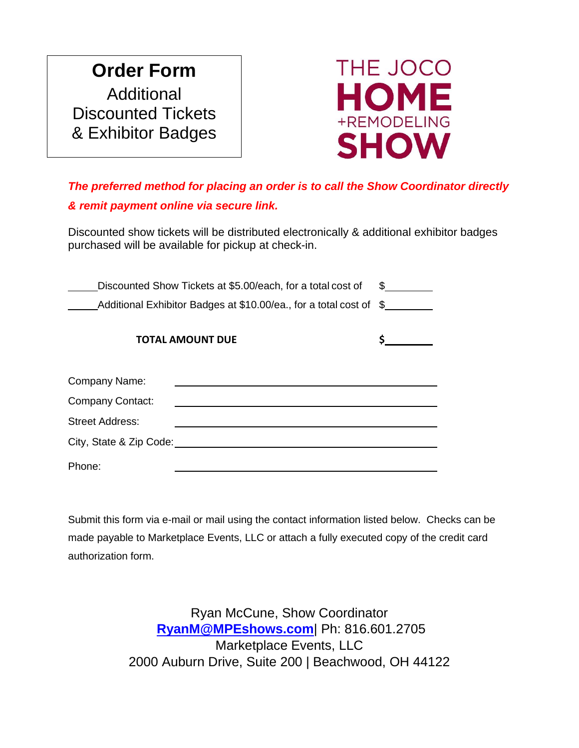## **Order Form** Additional Discounted Tickets & Exhibitor Badges



## *The preferred method for placing an order is to call the Show Coordinator directly & remit payment online via secure link.*

Discounted show tickets will be distributed electronically & additional exhibitor badges purchased will be available for pickup at check-in.

| Discounted Show Tickets at \$5.00/each, for a total cost of        | S. |  |  |
|--------------------------------------------------------------------|----|--|--|
| Additional Exhibitor Badges at \$10.00/ea., for a total cost of \$ |    |  |  |
| <b>TOTAL AMOUNT DUE</b>                                            |    |  |  |
| Company Name:                                                      |    |  |  |
| <b>Company Contact:</b>                                            |    |  |  |
| <b>Street Address:</b>                                             |    |  |  |
| City, State & Zip Code:                                            |    |  |  |
| Phone:                                                             |    |  |  |

Submit this form via e-mail or mail using the contact information listed below. Checks can be made payable to Marketplace Events, LLC or attach a fully executed copy of the credit card authorization form.

> Ryan McCune, Show Coordinator **[RyanM@MPEshows.com](mailto:RyanM@MPEshows.com)**| Ph: 816.601.2705 Marketplace Events, LLC 2000 Auburn Drive, Suite 200 | Beachwood, OH 44122